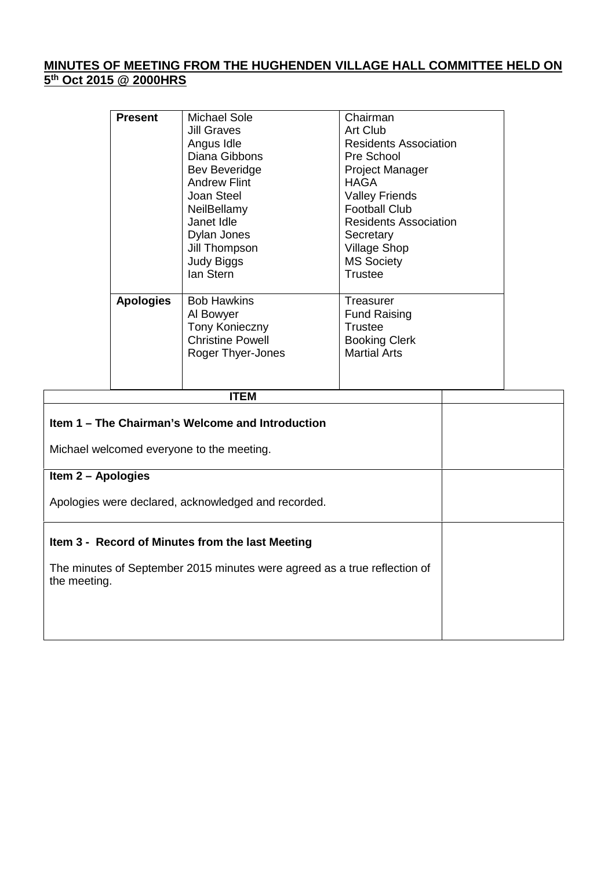## **MINUTES OF MEETING FROM THE HUGHENDEN VILLAGE HALL COMMITTEE HELD ON 5 th Oct 2015 @ 2000HRS**

| <b>Present</b>   | Michael Sole<br><b>Jill Graves</b><br>Angus Idle<br>Diana Gibbons<br>Bev Beveridge<br><b>Andrew Flint</b><br>Joan Steel<br>NeilBellamy<br>Janet Idle<br>Dylan Jones<br>Jill Thompson<br>Judy Biggs<br>lan Stern | Chairman<br><b>Art Club</b><br><b>Residents Association</b><br>Pre School<br><b>Project Manager</b><br>HAGA<br><b>Valley Friends</b><br><b>Football Club</b><br><b>Residents Association</b><br>Secretary<br><b>Village Shop</b><br><b>MS Society</b><br>Trustee |
|------------------|-----------------------------------------------------------------------------------------------------------------------------------------------------------------------------------------------------------------|------------------------------------------------------------------------------------------------------------------------------------------------------------------------------------------------------------------------------------------------------------------|
| <b>Apologies</b> | <b>Bob Hawkins</b><br>Al Bowyer<br><b>Tony Konieczny</b><br><b>Christine Powell</b><br>Roger Thyer-Jones                                                                                                        | Treasurer<br><b>Fund Raising</b><br>Trustee<br><b>Booking Clerk</b><br><b>Martial Arts</b>                                                                                                                                                                       |

| ITEM                                                                                      |  |
|-------------------------------------------------------------------------------------------|--|
| Item 1 – The Chairman's Welcome and Introduction                                          |  |
| Michael welcomed everyone to the meeting.                                                 |  |
| Item 2 - Apologies                                                                        |  |
| Apologies were declared, acknowledged and recorded.                                       |  |
| Item 3 - Record of Minutes from the last Meeting                                          |  |
| The minutes of September 2015 minutes were agreed as a true reflection of<br>the meeting. |  |
|                                                                                           |  |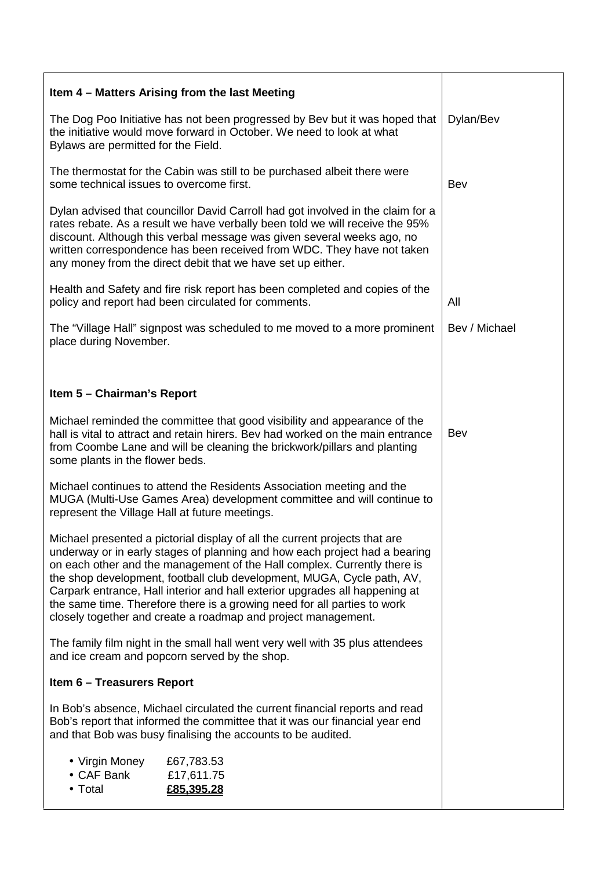| Item 4 – Matters Arising from the last Meeting                                                                                                                                                                                                                                                                                                                                                                                                                                                                                             |               |
|--------------------------------------------------------------------------------------------------------------------------------------------------------------------------------------------------------------------------------------------------------------------------------------------------------------------------------------------------------------------------------------------------------------------------------------------------------------------------------------------------------------------------------------------|---------------|
| The Dog Poo Initiative has not been progressed by Bev but it was hoped that<br>the initiative would move forward in October. We need to look at what<br>Bylaws are permitted for the Field.                                                                                                                                                                                                                                                                                                                                                | Dylan/Bev     |
| The thermostat for the Cabin was still to be purchased albeit there were<br>some technical issues to overcome first.                                                                                                                                                                                                                                                                                                                                                                                                                       | Bev           |
| Dylan advised that councillor David Carroll had got involved in the claim for a<br>rates rebate. As a result we have verbally been told we will receive the 95%<br>discount. Although this verbal message was given several weeks ago, no<br>written correspondence has been received from WDC. They have not taken<br>any money from the direct debit that we have set up either.                                                                                                                                                         |               |
| Health and Safety and fire risk report has been completed and copies of the<br>policy and report had been circulated for comments.                                                                                                                                                                                                                                                                                                                                                                                                         | All           |
| The "Village Hall" signpost was scheduled to me moved to a more prominent<br>place during November.                                                                                                                                                                                                                                                                                                                                                                                                                                        | Bev / Michael |
|                                                                                                                                                                                                                                                                                                                                                                                                                                                                                                                                            |               |
| Item 5 - Chairman's Report                                                                                                                                                                                                                                                                                                                                                                                                                                                                                                                 |               |
| Michael reminded the committee that good visibility and appearance of the<br>hall is vital to attract and retain hirers. Bev had worked on the main entrance<br>from Coombe Lane and will be cleaning the brickwork/pillars and planting<br>some plants in the flower beds.                                                                                                                                                                                                                                                                | Bev           |
| Michael continues to attend the Residents Association meeting and the<br>MUGA (Multi-Use Games Area) development committee and will continue to<br>represent the Village Hall at future meetings.                                                                                                                                                                                                                                                                                                                                          |               |
| Michael presented a pictorial display of all the current projects that are<br>underway or in early stages of planning and how each project had a bearing<br>on each other and the management of the Hall complex. Currently there is<br>the shop development, football club development, MUGA, Cycle path, AV,<br>Carpark entrance, Hall interior and hall exterior upgrades all happening at<br>the same time. Therefore there is a growing need for all parties to work<br>closely together and create a roadmap and project management. |               |
| The family film night in the small hall went very well with 35 plus attendees<br>and ice cream and popcorn served by the shop.                                                                                                                                                                                                                                                                                                                                                                                                             |               |
| <b>Item 6 - Treasurers Report</b>                                                                                                                                                                                                                                                                                                                                                                                                                                                                                                          |               |
| In Bob's absence, Michael circulated the current financial reports and read<br>Bob's report that informed the committee that it was our financial year end<br>and that Bob was busy finalising the accounts to be audited.                                                                                                                                                                                                                                                                                                                 |               |
| • Virgin Money<br>£67,783.53<br>• CAF Bank<br>£17,611.75<br>• Total<br>£85,395.28                                                                                                                                                                                                                                                                                                                                                                                                                                                          |               |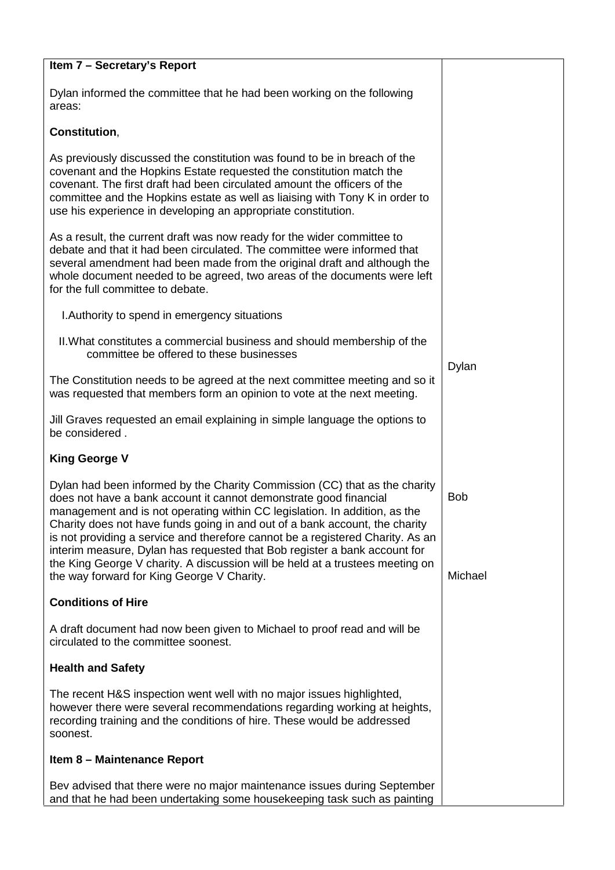| Item 7 - Secretary's Report                                                                                                                                                                                                                                                                                                                                                                                                                                                                                                                                                                                |                       |
|------------------------------------------------------------------------------------------------------------------------------------------------------------------------------------------------------------------------------------------------------------------------------------------------------------------------------------------------------------------------------------------------------------------------------------------------------------------------------------------------------------------------------------------------------------------------------------------------------------|-----------------------|
| Dylan informed the committee that he had been working on the following<br>areas:                                                                                                                                                                                                                                                                                                                                                                                                                                                                                                                           |                       |
| Constitution,                                                                                                                                                                                                                                                                                                                                                                                                                                                                                                                                                                                              |                       |
| As previously discussed the constitution was found to be in breach of the<br>covenant and the Hopkins Estate requested the constitution match the<br>covenant. The first draft had been circulated amount the officers of the<br>committee and the Hopkins estate as well as liaising with Tony K in order to<br>use his experience in developing an appropriate constitution.                                                                                                                                                                                                                             |                       |
| As a result, the current draft was now ready for the wider committee to<br>debate and that it had been circulated. The committee were informed that<br>several amendment had been made from the original draft and although the<br>whole document needed to be agreed, two areas of the documents were left<br>for the full committee to debate.                                                                                                                                                                                                                                                           |                       |
| I. Authority to spend in emergency situations                                                                                                                                                                                                                                                                                                                                                                                                                                                                                                                                                              |                       |
| II. What constitutes a commercial business and should membership of the<br>committee be offered to these businesses                                                                                                                                                                                                                                                                                                                                                                                                                                                                                        | Dylan                 |
| The Constitution needs to be agreed at the next committee meeting and so it<br>was requested that members form an opinion to vote at the next meeting.                                                                                                                                                                                                                                                                                                                                                                                                                                                     |                       |
| Jill Graves requested an email explaining in simple language the options to<br>be considered.                                                                                                                                                                                                                                                                                                                                                                                                                                                                                                              |                       |
| <b>King George V</b>                                                                                                                                                                                                                                                                                                                                                                                                                                                                                                                                                                                       |                       |
| Dylan had been informed by the Charity Commission (CC) that as the charity<br>does not have a bank account it cannot demonstrate good financial<br>management and is not operating within CC legislation. In addition, as the<br>Charity does not have funds going in and out of a bank account, the charity<br>is not providing a service and therefore cannot be a registered Charity. As an<br>interim measure, Dylan has requested that Bob register a bank account for<br>the King George V charity. A discussion will be held at a trustees meeting on<br>the way forward for King George V Charity. | <b>Bob</b><br>Michael |
| <b>Conditions of Hire</b>                                                                                                                                                                                                                                                                                                                                                                                                                                                                                                                                                                                  |                       |
| A draft document had now been given to Michael to proof read and will be<br>circulated to the committee soonest.                                                                                                                                                                                                                                                                                                                                                                                                                                                                                           |                       |
| <b>Health and Safety</b>                                                                                                                                                                                                                                                                                                                                                                                                                                                                                                                                                                                   |                       |
| The recent H&S inspection went well with no major issues highlighted,<br>however there were several recommendations regarding working at heights,<br>recording training and the conditions of hire. These would be addressed<br>soonest.                                                                                                                                                                                                                                                                                                                                                                   |                       |
| Item 8 - Maintenance Report                                                                                                                                                                                                                                                                                                                                                                                                                                                                                                                                                                                |                       |
| Bev advised that there were no major maintenance issues during September<br>and that he had been undertaking some housekeeping task such as painting                                                                                                                                                                                                                                                                                                                                                                                                                                                       |                       |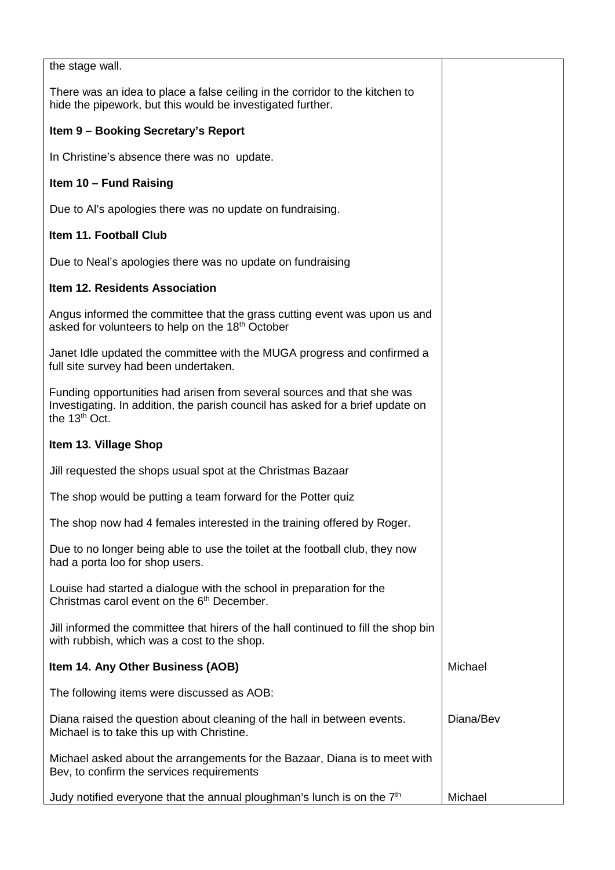| the stage wall.                                                                                                                                                                       |           |
|---------------------------------------------------------------------------------------------------------------------------------------------------------------------------------------|-----------|
| There was an idea to place a false ceiling in the corridor to the kitchen to<br>hide the pipework, but this would be investigated further.                                            |           |
| Item 9 - Booking Secretary's Report                                                                                                                                                   |           |
| In Christine's absence there was no update.                                                                                                                                           |           |
| Item 10 - Fund Raising                                                                                                                                                                |           |
| Due to AI's apologies there was no update on fundraising.                                                                                                                             |           |
| Item 11. Football Club                                                                                                                                                                |           |
| Due to Neal's apologies there was no update on fundraising                                                                                                                            |           |
| Item 12. Residents Association                                                                                                                                                        |           |
| Angus informed the committee that the grass cutting event was upon us and<br>asked for volunteers to help on the 18 <sup>th</sup> October                                             |           |
| Janet Idle updated the committee with the MUGA progress and confirmed a<br>full site survey had been undertaken.                                                                      |           |
| Funding opportunities had arisen from several sources and that she was<br>Investigating. In addition, the parish council has asked for a brief update on<br>the 13 <sup>th</sup> Oct. |           |
| Item 13. Village Shop                                                                                                                                                                 |           |
| Jill requested the shops usual spot at the Christmas Bazaar                                                                                                                           |           |
| The shop would be putting a team forward for the Potter quized                                                                                                                        |           |
| The shop now had 4 females interested in the training offered by Roger.                                                                                                               |           |
| Due to no longer being able to use the toilet at the football club, they now<br>had a porta loo for shop users.                                                                       |           |
| Louise had started a dialogue with the school in preparation for the<br>Christmas carol event on the 6 <sup>th</sup> December.                                                        |           |
| Jill informed the committee that hirers of the hall continued to fill the shop bin<br>with rubbish, which was a cost to the shop.                                                     |           |
| Item 14. Any Other Business (AOB)                                                                                                                                                     | Michael   |
| The following items were discussed as AOB:                                                                                                                                            |           |
| Diana raised the question about cleaning of the hall in between events.<br>Michael is to take this up with Christine.                                                                 | Diana/Bev |
| Michael asked about the arrangements for the Bazaar, Diana is to meet with<br>Bev, to confirm the services requirements                                                               |           |
| Judy notified everyone that the annual ploughman's lunch is on the $7th$                                                                                                              | Michael   |